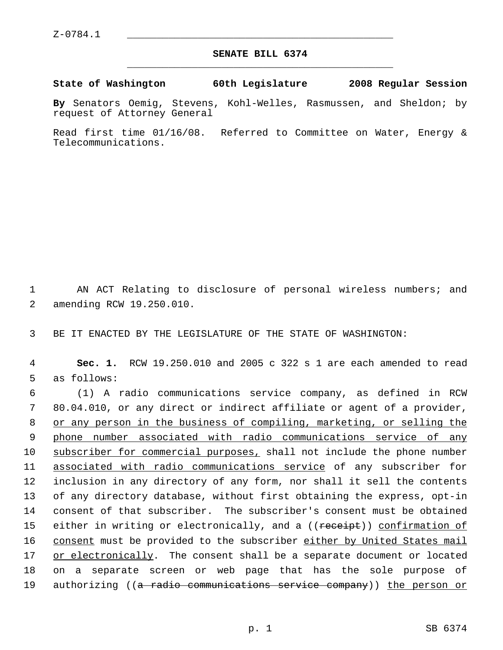## **SENATE BILL 6374** \_\_\_\_\_\_\_\_\_\_\_\_\_\_\_\_\_\_\_\_\_\_\_\_\_\_\_\_\_\_\_\_\_\_\_\_\_\_\_\_\_\_\_\_\_

**State of Washington 60th Legislature 2008 Regular Session**

**By** Senators Oemig, Stevens, Kohl-Welles, Rasmussen, and Sheldon; by request of Attorney General

Read first time 01/16/08. Referred to Committee on Water, Energy & Telecommunications.

 1 AN ACT Relating to disclosure of personal wireless numbers; and 2 amending RCW 19.250.010.

3 BE IT ENACTED BY THE LEGISLATURE OF THE STATE OF WASHINGTON:

 4 **Sec. 1.** RCW 19.250.010 and 2005 c 322 s 1 are each amended to read 5 as follows:

 (1) A radio communications service company, as defined in RCW 80.04.010, or any direct or indirect affiliate or agent of a provider, 8 or any person in the business of compiling, marketing, or selling the phone number associated with radio communications service of any subscriber for commercial purposes, shall not include the phone number associated with radio communications service of any subscriber for inclusion in any directory of any form, nor shall it sell the contents of any directory database, without first obtaining the express, opt-in consent of that subscriber. The subscriber's consent must be obtained 15 either in writing or electronically, and a ((receipt)) confirmation of 16 consent must be provided to the subscriber either by United States mail or electronically. The consent shall be a separate document or located on a separate screen or web page that has the sole purpose of 19 authorizing ((<del>a radio communications service company</del>)) <u>the person or</u>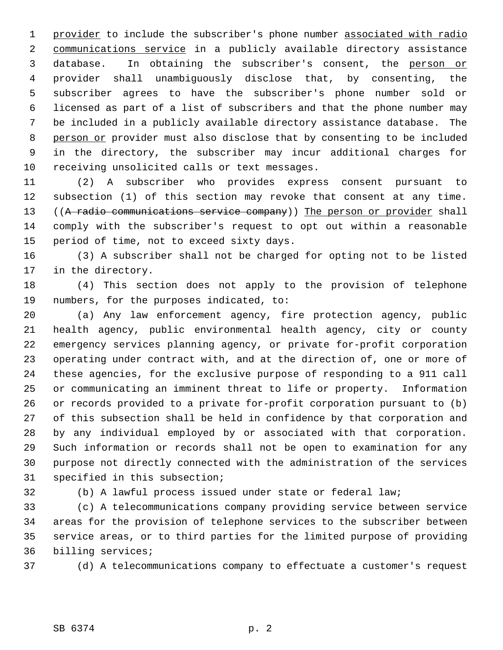1 provider to include the subscriber's phone number associated with radio communications service in a publicly available directory assistance 3 database. In obtaining the subscriber's consent, the person or provider shall unambiguously disclose that, by consenting, the subscriber agrees to have the subscriber's phone number sold or licensed as part of a list of subscribers and that the phone number may be included in a publicly available directory assistance database. The 8 person or provider must also disclose that by consenting to be included in the directory, the subscriber may incur additional charges for receiving unsolicited calls or text messages.

 (2) A subscriber who provides express consent pursuant to subsection (1) of this section may revoke that consent at any time. 13 ((A radio communications service company)) The person or provider shall comply with the subscriber's request to opt out within a reasonable period of time, not to exceed sixty days.

 (3) A subscriber shall not be charged for opting not to be listed in the directory.

 (4) This section does not apply to the provision of telephone numbers, for the purposes indicated, to:

 (a) Any law enforcement agency, fire protection agency, public health agency, public environmental health agency, city or county emergency services planning agency, or private for-profit corporation operating under contract with, and at the direction of, one or more of these agencies, for the exclusive purpose of responding to a 911 call or communicating an imminent threat to life or property. Information or records provided to a private for-profit corporation pursuant to (b) of this subsection shall be held in confidence by that corporation and by any individual employed by or associated with that corporation. Such information or records shall not be open to examination for any purpose not directly connected with the administration of the services specified in this subsection;

(b) A lawful process issued under state or federal law;

 (c) A telecommunications company providing service between service areas for the provision of telephone services to the subscriber between service areas, or to third parties for the limited purpose of providing billing services;

(d) A telecommunications company to effectuate a customer's request